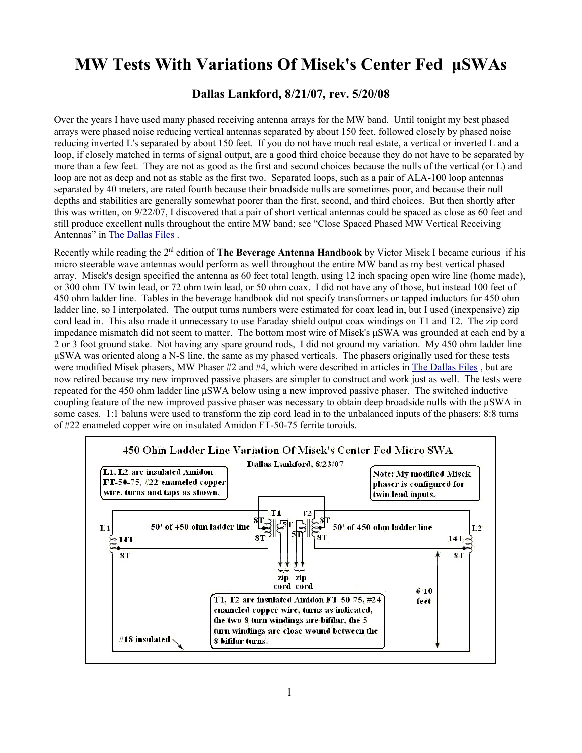## **MW Tests With Variations Of Misek's Center Fed μSWAs**

**Dallas Lankford, 8/21/07, rev. 5/20/08**

Over the years I have used many phased receiving antenna arrays for the MW band. Until tonight my best phased arrays were phased noise reducing vertical antennas separated by about 150 feet, followed closely by phased noise reducing inverted L's separated by about 150 feet. If you do not have much real estate, a vertical or inverted L and a loop, if closely matched in terms of signal output, are a good third choice because they do not have to be separated by more than a few feet. They are not as good as the first and second choices because the nulls of the vertical (or L) and loop are not as deep and not as stable as the first two. Separated loops, such as a pair of ALA-100 loop antennas separated by 40 meters, are rated fourth because their broadside nulls are sometimes poor, and because their null depths and stabilities are generally somewhat poorer than the first, second, and third choices. But then shortly after this was written, on 9/22/07, I discovered that a pair of short vertical antennas could be spaced as close as 60 feet and still produce excellent nulls throughout the entire MW band; see "Close Spaced Phased MW Vertical Receiving Antennas" in [The Dallas Files](http://www.kongsfjord.no/) .

Recently while reading the 2rd edition of **The Beverage Antenna Handbook** by Victor Misek I became curious if his micro steerable wave antennas would perform as well throughout the entire MW band as my best vertical phased array. Misek's design specified the antenna as 60 feet total length, using 12 inch spacing open wire line (home made), or 300 ohm TV twin lead, or 72 ohm twin lead, or 50 ohm coax. I did not have any of those, but instead 100 feet of 450 ohm ladder line. Tables in the beverage handbook did not specify transformers or tapped inductors for 450 ohm ladder line, so I interpolated. The output turns numbers were estimated for coax lead in, but I used (inexpensive) zip cord lead in. This also made it unnecessary to use Faraday shield output coax windings on T1 and T2. The zip cord impedance mismatch did not seem to matter. The bottom most wire of Misek's μSWA was grounded at each end by a 2 or 3 foot ground stake. Not having any spare ground rods, I did not ground my variation. My 450 ohm ladder line μSWA was oriented along a N-S line, the same as my phased verticals. The phasers originally used for these tests were modified Misek phasers, MW Phaser #2 and #4, which were described in articles in The Dallas Files, but are now retired because my new improved passive phasers are simpler to construct and work just as well. The tests were repeated for the 450 ohm ladder line μSWA below using a new improved passive phaser. The switched inductive coupling feature of the new improved passive phaser was necessary to obtain deep broadside nulls with the μSWA in some cases. 1:1 baluns were used to transform the zip cord lead in to the unbalanced inputs of the phasers: 8:8 turns of #22 enameled copper wire on insulated Amidon FT-50-75 ferrite toroids.

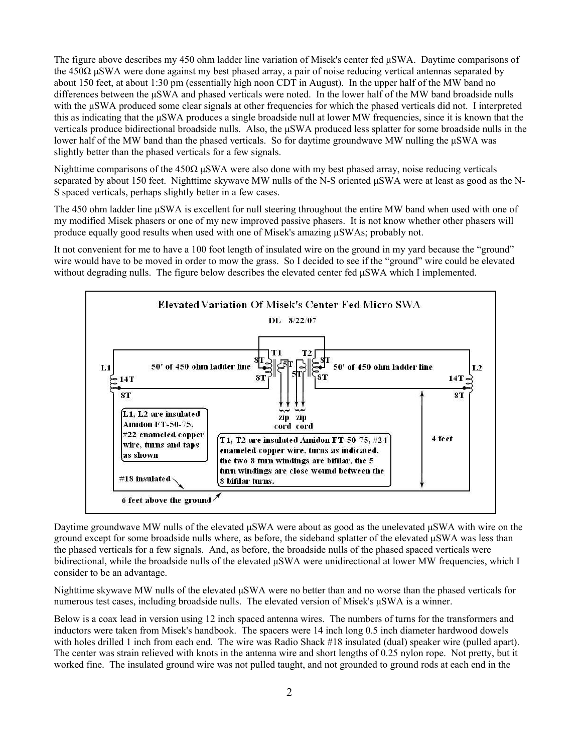The figure above describes my 450 ohm ladder line variation of Misek's center fed μSWA. Daytime comparisons of the 450 $\Omega$  µSWA were done against my best phased array, a pair of noise reducing vertical antennas separated by about 150 feet, at about 1:30 pm (essentially high noon CDT in August). In the upper half of the MW band no differences between the μSWA and phased verticals were noted. In the lower half of the MW band broadside nulls with the μSWA produced some clear signals at other frequencies for which the phased verticals did not. I interpreted this as indicating that the μSWA produces a single broadside null at lower MW frequencies, since it is known that the verticals produce bidirectional broadside nulls. Also, the μSWA produced less splatter for some broadside nulls in the lower half of the MW band than the phased verticals. So for daytime groundwave MW nulling the μSWA was slightly better than the phased verticals for a few signals.

Nighttime comparisons of the 450 $\Omega$  µSWA were also done with my best phased array, noise reducing verticals separated by about 150 feet. Nighttime skywave MW nulls of the N-S oriented μSWA were at least as good as the N-S spaced verticals, perhaps slightly better in a few cases.

The 450 ohm ladder line μSWA is excellent for null steering throughout the entire MW band when used with one of my modified Misek phasers or one of my new improved passive phasers. It is not know whether other phasers will produce equally good results when used with one of Misek's amazing μSWAs; probably not.

It not convenient for me to have a 100 foot length of insulated wire on the ground in my yard because the "ground" wire would have to be moved in order to mow the grass. So I decided to see if the "ground" wire could be elevated without degrading nulls. The figure below describes the elevated center fed μSWA which I implemented.



Daytime groundwave MW nulls of the elevated μSWA were about as good as the unelevated μSWA with wire on the ground except for some broadside nulls where, as before, the sideband splatter of the elevated μSWA was less than the phased verticals for a few signals. And, as before, the broadside nulls of the phased spaced verticals were bidirectional, while the broadside nulls of the elevated μSWA were unidirectional at lower MW frequencies, which I consider to be an advantage.

Nighttime skywave MW nulls of the elevated μSWA were no better than and no worse than the phased verticals for numerous test cases, including broadside nulls. The elevated version of Misek's μSWA is a winner.

Below is a coax lead in version using 12 inch spaced antenna wires. The numbers of turns for the transformers and inductors were taken from Misek's handbook. The spacers were 14 inch long 0.5 inch diameter hardwood dowels with holes drilled 1 inch from each end. The wire was Radio Shack #18 insulated (dual) speaker wire (pulled apart). The center was strain relieved with knots in the antenna wire and short lengths of 0.25 nylon rope. Not pretty, but it worked fine. The insulated ground wire was not pulled taught, and not grounded to ground rods at each end in the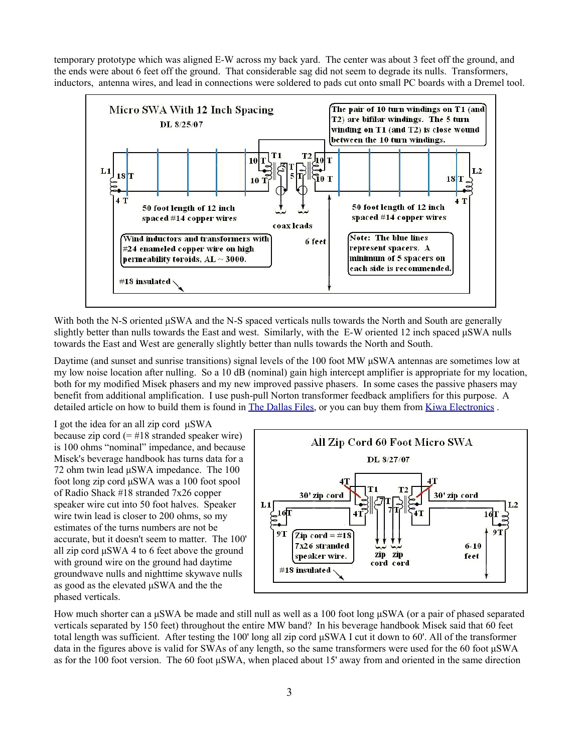temporary prototype which was aligned E-W across my back yard. The center was about 3 feet off the ground, and the ends were about 6 feet off the ground. That considerable sag did not seem to degrade its nulls. Transformers, inductors, antenna wires, and lead in connections were soldered to pads cut onto small PC boards with a Dremel tool.



With both the N-S oriented  $\mu$ SWA and the N-S spaced verticals nulls towards the North and South are generally slightly better than nulls towards the East and west. Similarly, with the E-W oriented 12 inch spaced  $\mu$ SWA nulls towards the East and West are generally slightly better than nulls towards the North and South.

Daytime (and sunset and sunrise transitions) signal levels of the 100 foot MW μSWA antennas are sometimes low at my low noise location after nulling. So a 10 dB (nominal) gain high intercept amplifier is appropriate for my location, both for my modified Misek phasers and my new improved passive phasers. In some cases the passive phasers may benefit from additional amplification. I use push-pull Norton transformer feedback amplifiers for this purpose. A detailed article on how to build them is found in [The Dallas Files,](http://www.kongsfjord.no/) or you can buy them from [Kiwa Electronics](http://kiwa.com/bbpreamp.html) .

I got the idea for an all zip cord μSWA because zip cord  $(=\#18 \text{ standard speaker wire})$ is 100 ohms "nominal" impedance, and because Misek's beverage handbook has turns data for a 72 ohm twin lead μSWA impedance. The 100 foot long zip cord μSWA was a 100 foot spool of Radio Shack #18 stranded 7x26 copper speaker wire cut into 50 foot halves. Speaker wire twin lead is closer to 200 ohms, so my estimates of the turns numbers are not be accurate, but it doesn't seem to matter. The 100' all zip cord μSWA 4 to 6 feet above the ground with ground wire on the ground had daytime groundwave nulls and nighttime skywave nulls as good as the elevated μSWA and the the phased verticals.



How much shorter can a μSWA be made and still null as well as a 100 foot long μSWA (or a pair of phased separated verticals separated by 150 feet) throughout the entire MW band? In his beverage handbook Misek said that 60 feet total length was sufficient. After testing the 100' long all zip cord μSWA I cut it down to 60'. All of the transformer data in the figures above is valid for SWAs of any length, so the same transformers were used for the 60 foot μSWA as for the 100 foot version. The 60 foot μSWA, when placed about 15' away from and oriented in the same direction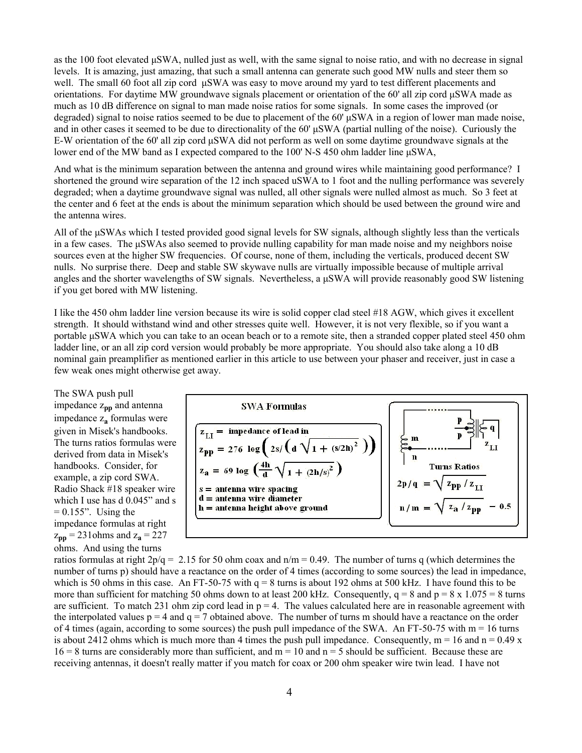as the 100 foot elevated μSWA, nulled just as well, with the same signal to noise ratio, and with no decrease in signal levels. It is amazing, just amazing, that such a small antenna can generate such good MW nulls and steer them so well. The small 60 foot all zip cord μSWA was easy to move around my yard to test different placements and orientations. For daytime MW groundwave signals placement or orientation of the 60' all zip cord μSWA made as much as 10 dB difference on signal to man made noise ratios for some signals. In some cases the improved (or degraded) signal to noise ratios seemed to be due to placement of the 60' μSWA in a region of lower man made noise, and in other cases it seemed to be due to directionality of the 60' μSWA (partial nulling of the noise). Curiously the E-W orientation of the 60' all zip cord μSWA did not perform as well on some daytime groundwave signals at the lower end of the MW band as I expected compared to the 100' N-S 450 ohm ladder line μSWA,

And what is the minimum separation between the antenna and ground wires while maintaining good performance? I shortened the ground wire separation of the 12 inch spaced uSWA to 1 foot and the nulling performance was severely degraded; when a daytime groundwave signal was nulled, all other signals were nulled almost as much. So 3 feet at the center and 6 feet at the ends is about the minimum separation which should be used between the ground wire and the antenna wires.

All of the μSWAs which I tested provided good signal levels for SW signals, although slightly less than the verticals in a few cases. The μSWAs also seemed to provide nulling capability for man made noise and my neighbors noise sources even at the higher SW frequencies. Of course, none of them, including the verticals, produced decent SW nulls. No surprise there. Deep and stable SW skywave nulls are virtually impossible because of multiple arrival angles and the shorter wavelengths of SW signals. Nevertheless, a μSWA will provide reasonably good SW listening if you get bored with MW listening.

I like the 450 ohm ladder line version because its wire is solid copper clad steel #18 AGW, which gives it excellent strength. It should withstand wind and other stresses quite well. However, it is not very flexible, so if you want a portable μSWA which you can take to an ocean beach or to a remote site, then a stranded copper plated steel 450 ohm ladder line, or an all zip cord version would probably be more appropriate. You should also take along a 10 dB nominal gain preamplifier as mentioned earlier in this article to use between your phaser and receiver, just in case a few weak ones might otherwise get away.

The SWA push pull impedance z**pp** and antenna impedance z**<sup>a</sup>** formulas were given in Misek's handbooks. The turns ratios formulas were derived from data in Misek's handbooks. Consider, for example, a zip cord SWA. Radio Shack #18 speaker wire which I use has d  $0.045$ " and s  $= 0.155$ ". Using the impedance formulas at right  $z_{\text{pp}} = 231 \text{ ohms}$  and  $z_{\text{a}} = 227$ ohms. And using the turns



ratios formulas at right  $2p/q = 2.15$  for 50 ohm coax and  $n/m = 0.49$ . The number of turns q (which determines the number of turns p) should have a reactance on the order of 4 times (according to some sources) the lead in impedance, which is 50 ohms in this case. An FT-50-75 with  $q = 8$  turns is about 192 ohms at 500 kHz. I have found this to be more than sufficient for matching 50 ohms down to at least 200 kHz. Consequently,  $q = 8$  and  $p = 8 \times 1.075 = 8$  turns are sufficient. To match 231 ohm zip cord lead in  $p = 4$ . The values calculated here are in reasonable agreement with the interpolated values  $p = 4$  and  $q = 7$  obtained above. The number of turns m should have a reactance on the order of 4 times (again, according to some sources) the push pull impedance of the SWA. An FT-50-75 with  $m = 16$  turns is about 2412 ohms which is much more than 4 times the push pull impedance. Consequently,  $m = 16$  and  $n = 0.49$  x  $16 = 8$  turns are considerably more than sufficient, and  $m = 10$  and  $n = 5$  should be sufficient. Because these are receiving antennas, it doesn't really matter if you match for coax or 200 ohm speaker wire twin lead. I have not